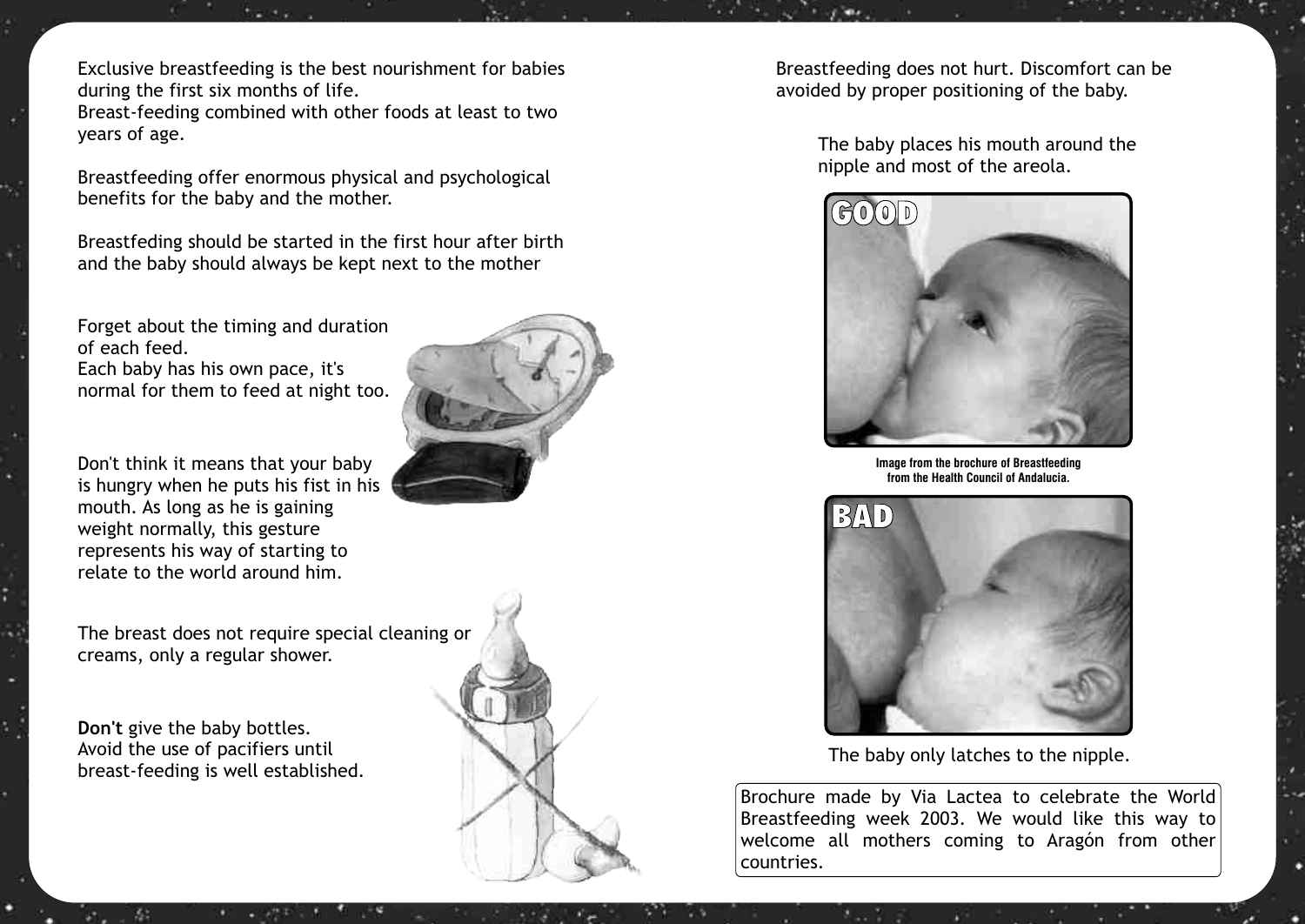Exclusive breastfeeding is the best nourishment for babies during the first six months of life. Breast-feeding combined with other foods at least to two years of age.

Breastfeeding offer enormous physical and psychological benefits for the baby and the mother.

Breastfeding should be started in the first hour after birth and the baby should always be kept next to the mother

Forget about the timing and duration of each feed.

Each baby has his own pace, it's normal for them to feed at night too.

Don't think it means that your baby is hungry when he puts his fist in his mouth. As long as he is gaining weight normally, this gesture represents his way of starting to relate to the world around him.

The breast does not require special cleaning or creams, only a regular shower.

**Don't** give the baby bottles. Avoid the use of pacifiers until breast-feeding is well established.





Breastfeeding does not hurt. Discomfort can be avoided by proper positioning of the baby.

> The baby places his mouth around the nipple and most of the areola.



**Image from the brochure of Breastfeeding from the Health Council of Andalucia.**



The baby only latches to the nipple.

Brochure made by Via Lactea to celebrate the World Breastfeeding week 2003. We would like this way to welcome all mothers coming to Aragón from other countries.